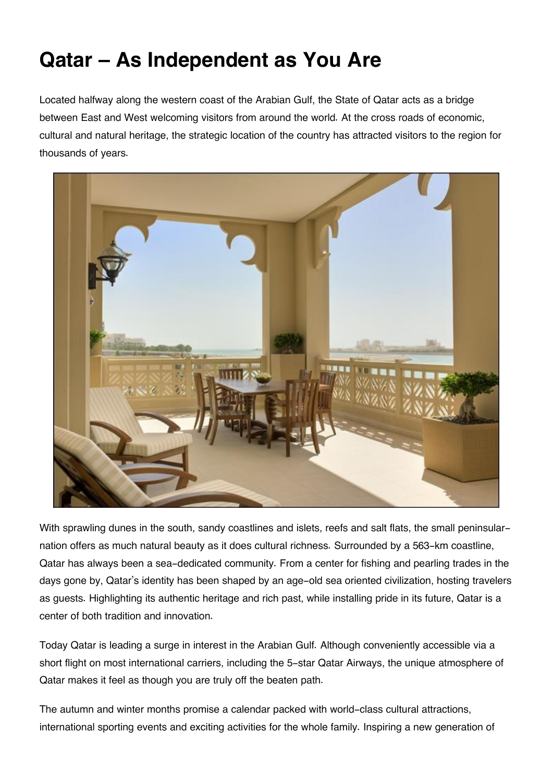## **Qatar – As Independent as You Are**

Located halfway along the western coast of the Arabian Gulf, the State of Qatar acts as a bridge between East and West welcoming visitors from around the world. At the cross roads of economic, cultural and natural heritage, the strategic location of the country has attracted visitors to the region for thousands of years.



With sprawling dunes in the south, sandy coastlines and islets, reefs and salt flats, the small peninsularnation offers as much natural beauty as it does cultural richness. Surrounded by a 563-km coastline, Qatar has always been a sea-dedicated community. From a center for fishing and pearling trades in the days gone by, Qatar's identity has been shaped by an age-old sea oriented civilization, hosting travelers as guests. Highlighting its authentic heritage and rich past, while installing pride in its future, Qatar is a center of both tradition and innovation.

Today Qatar is leading a surge in interest in the Arabian Gulf. Although conveniently accessible via a short flight on most international carriers, including the 5-star Qatar Airways, the unique atmosphere of Qatar makes it feel as though you are truly off the beaten path.

The autumn and winter months promise a calendar packed with world-class cultural attractions, international sporting events and exciting activities for the whole family. Inspiring a new generation of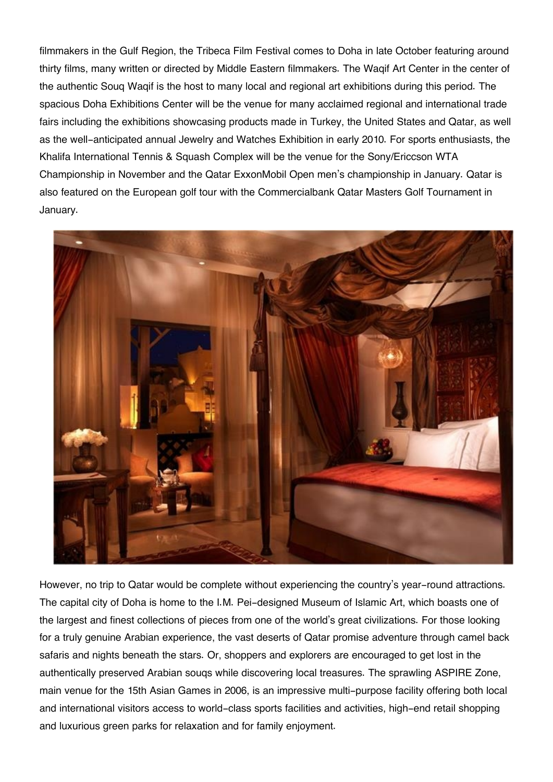filmmakers in the Gulf Region, the Tribeca Film Festival comes to Doha in late October featuring around thirty films, many written or directed by Middle Eastern filmmakers. The Waqif Art Center in the center of the authentic Souq Waqif is the host to many local and regional art exhibitions during this period. The spacious Doha Exhibitions Center will be the venue for many acclaimed regional and international trade fairs including the exhibitions showcasing products made in Turkey, the United States and Qatar, as well as the well-anticipated annual Jewelry and Watches Exhibition in early 2010. For sports enthusiasts, the Khalifa International Tennis & Squash Complex will be the venue for the Sony/Ericcson WTA Championship in November and the Qatar ExxonMobil Open men's championship in January. Qatar is also featured on the European golf tour with the Commercialbank Qatar Masters Golf Tournament in January.



However, no trip to Qatar would be complete without experiencing the country's year-round attractions. The capital city of Doha is home to the I.M. Pei-designed Museum of Islamic Art, which boasts one of the largest and finest collections of pieces from one of the world's great civilizations. For those looking for a truly genuine Arabian experience, the vast deserts of Qatar promise adventure through camel back safaris and nights beneath the stars. Or, shoppers and explorers are encouraged to get lost in the authentically preserved Arabian souqs while discovering local treasures. The sprawling ASPIRE Zone, main venue for the 15th Asian Games in 2006, is an impressive multi-purpose facility offering both local and international visitors access to world-class sports facilities and activities, high-end retail shopping and luxurious green parks for relaxation and for family enjoyment.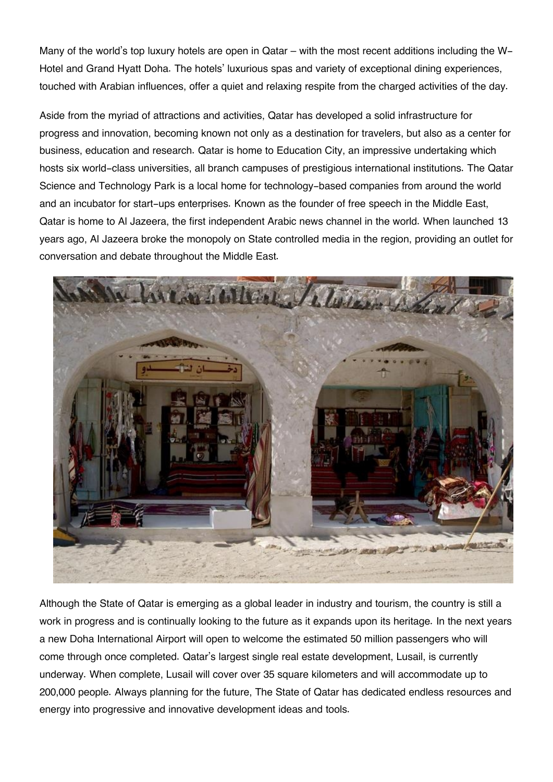Many of the world's top luxury hotels are open in Qatar – with the most recent additions including the W-Hotel and Grand Hyatt Doha. The hotels' luxurious spas and variety of exceptional dining experiences, touched with Arabian influences, offer a quiet and relaxing respite from the charged activities of the day.

Aside from the myriad of attractions and activities, Qatar has developed a solid infrastructure for progress and innovation, becoming known not only as a destination for travelers, but also as a center for business, education and research. Qatar is home to Education City, an impressive undertaking which hosts six world-class universities, all branch campuses of prestigious international institutions. The Qatar Science and Technology Park is a local home for technology-based companies from around the world and an incubator for start-ups enterprises. Known as the founder of free speech in the Middle East, Qatar is home to Al Jazeera, the first independent Arabic news channel in the world. When launched 13 years ago, Al Jazeera broke the monopoly on State controlled media in the region, providing an outlet for conversation and debate throughout the Middle East.



Although the State of Qatar is emerging as a global leader in industry and tourism, the country is still a work in progress and is continually looking to the future as it expands upon its heritage. In the next years a new Doha International Airport will open to welcome the estimated 50 million passengers who will come through once completed. Qatar's largest single real estate development, Lusail, is currently underway. When complete, Lusail will cover over 35 square kilometers and will accommodate up to 200,000 people. Always planning for the future, The State of Qatar has dedicated endless resources and energy into progressive and innovative development ideas and tools.